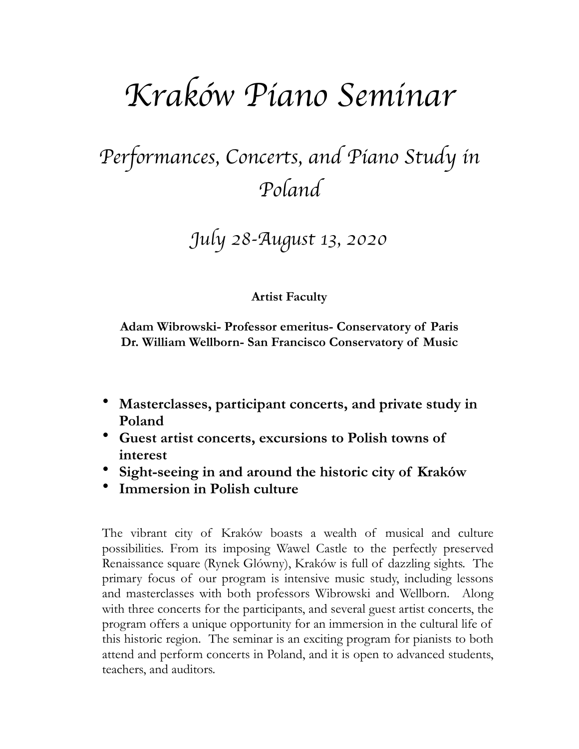# *Krak*ó*w Piano Seminar*

## *Performances, Concerts, and Piano Study in Poland*

### *July 28-August 13, 2020*

### **Artist Faculty**

**Adam Wibrowski- Professor emeritus- Conservatory of Paris Dr. William Wellborn- San Francisco Conservatory of Music** 

- **Masterclasses, participant concerts, and private study in Poland**
- **Guest artist concerts, excursions to Polish towns of interest**
- **Sight-seeing in and around the historic city of Kraków**
- **Immersion in Polish culture**

The vibrant city of Kraków boasts a wealth of musical and culture possibilities. From its imposing Wawel Castle to the perfectly preserved Renaissance square (Rynek Glówny), Kraków is full of dazzling sights. The primary focus of our program is intensive music study, including lessons and masterclasses with both professors Wibrowski and Wellborn. Along with three concerts for the participants, and several guest artist concerts, the program offers a unique opportunity for an immersion in the cultural life of this historic region. The seminar is an exciting program for pianists to both attend and perform concerts in Poland, and it is open to advanced students, teachers, and auditors.